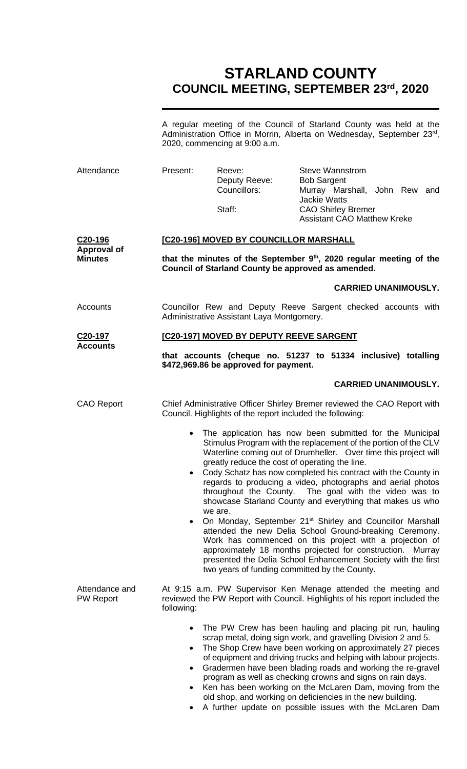# **STARLAND COUNTY COUNCIL MEETING, SEPTEMBER 23rd, 2020**

A regular meeting of the Council of Starland County was held at the Administration Office in Morrin, Alberta on Wednesday, September 23rd, 2020, commencing at 9:00 a.m.

| Attendance                                      | Present:                                                                                                                                                                                                                                                                                                                                                                                                                                                                                                                                                                                                                                                                                                                                                                                                                                                                                                                                | Reeve:<br>Deputy Reeve:<br>Councillors:<br>Staff: | <b>Steve Wannstrom</b><br><b>Bob Sargent</b><br>Murray Marshall, John Rew and<br><b>Jackie Watts</b><br><b>CAO Shirley Bremer</b><br><b>Assistant CAO Matthew Kreke</b>                                                                                                                                                                                                                                                                                                                                               |  |  |  |  |  |
|-------------------------------------------------|-----------------------------------------------------------------------------------------------------------------------------------------------------------------------------------------------------------------------------------------------------------------------------------------------------------------------------------------------------------------------------------------------------------------------------------------------------------------------------------------------------------------------------------------------------------------------------------------------------------------------------------------------------------------------------------------------------------------------------------------------------------------------------------------------------------------------------------------------------------------------------------------------------------------------------------------|---------------------------------------------------|-----------------------------------------------------------------------------------------------------------------------------------------------------------------------------------------------------------------------------------------------------------------------------------------------------------------------------------------------------------------------------------------------------------------------------------------------------------------------------------------------------------------------|--|--|--|--|--|
| C20-196<br><b>Approval of</b><br><b>Minutes</b> | [C20-196] MOVED BY COUNCILLOR MARSHALL<br>that the minutes of the September $9th$ , 2020 regular meeting of the                                                                                                                                                                                                                                                                                                                                                                                                                                                                                                                                                                                                                                                                                                                                                                                                                         |                                                   |                                                                                                                                                                                                                                                                                                                                                                                                                                                                                                                       |  |  |  |  |  |
|                                                 | Council of Starland County be approved as amended.                                                                                                                                                                                                                                                                                                                                                                                                                                                                                                                                                                                                                                                                                                                                                                                                                                                                                      |                                                   |                                                                                                                                                                                                                                                                                                                                                                                                                                                                                                                       |  |  |  |  |  |
|                                                 |                                                                                                                                                                                                                                                                                                                                                                                                                                                                                                                                                                                                                                                                                                                                                                                                                                                                                                                                         |                                                   | <b>CARRIED UNANIMOUSLY.</b>                                                                                                                                                                                                                                                                                                                                                                                                                                                                                           |  |  |  |  |  |
| Accounts                                        | Councillor Rew and Deputy Reeve Sargent checked accounts with<br>Administrative Assistant Laya Montgomery.                                                                                                                                                                                                                                                                                                                                                                                                                                                                                                                                                                                                                                                                                                                                                                                                                              |                                                   |                                                                                                                                                                                                                                                                                                                                                                                                                                                                                                                       |  |  |  |  |  |
| C20-197<br><b>Accounts</b>                      | [C20-197] MOVED BY DEPUTY REEVE SARGENT                                                                                                                                                                                                                                                                                                                                                                                                                                                                                                                                                                                                                                                                                                                                                                                                                                                                                                 |                                                   |                                                                                                                                                                                                                                                                                                                                                                                                                                                                                                                       |  |  |  |  |  |
|                                                 | that accounts (cheque no. 51237 to 51334 inclusive) totalling<br>\$472,969.86 be approved for payment.                                                                                                                                                                                                                                                                                                                                                                                                                                                                                                                                                                                                                                                                                                                                                                                                                                  |                                                   |                                                                                                                                                                                                                                                                                                                                                                                                                                                                                                                       |  |  |  |  |  |
|                                                 |                                                                                                                                                                                                                                                                                                                                                                                                                                                                                                                                                                                                                                                                                                                                                                                                                                                                                                                                         |                                                   | <b>CARRIED UNANIMOUSLY.</b>                                                                                                                                                                                                                                                                                                                                                                                                                                                                                           |  |  |  |  |  |
| <b>CAO Report</b>                               | Chief Administrative Officer Shirley Bremer reviewed the CAO Report with<br>Council. Highlights of the report included the following:                                                                                                                                                                                                                                                                                                                                                                                                                                                                                                                                                                                                                                                                                                                                                                                                   |                                                   |                                                                                                                                                                                                                                                                                                                                                                                                                                                                                                                       |  |  |  |  |  |
|                                                 | The application has now been submitted for the Municipal<br>$\bullet$<br>Stimulus Program with the replacement of the portion of the CLV<br>Waterline coming out of Drumheller. Over time this project will<br>greatly reduce the cost of operating the line.<br>Cody Schatz has now completed his contract with the County in<br>$\bullet$<br>regards to producing a video, photographs and aerial photos<br>throughout the County. The goal with the video was to<br>showcase Starland County and everything that makes us who<br>we are.<br>On Monday, September 21 <sup>st</sup> Shirley and Councillor Marshall<br>$\bullet$<br>attended the new Delia School Ground-breaking Ceremony.<br>Work has commenced on this project with a projection of<br>approximately 18 months projected for construction. Murray<br>presented the Delia School Enhancement Society with the first<br>two years of funding committed by the County. |                                                   |                                                                                                                                                                                                                                                                                                                                                                                                                                                                                                                       |  |  |  |  |  |
| Attendance and<br><b>PW Report</b>              | At 9:15 a.m. PW Supervisor Ken Menage attended the meeting and<br>reviewed the PW Report with Council. Highlights of his report included the<br>following:                                                                                                                                                                                                                                                                                                                                                                                                                                                                                                                                                                                                                                                                                                                                                                              |                                                   |                                                                                                                                                                                                                                                                                                                                                                                                                                                                                                                       |  |  |  |  |  |
|                                                 | $\bullet$<br>$\bullet$<br>$\bullet$                                                                                                                                                                                                                                                                                                                                                                                                                                                                                                                                                                                                                                                                                                                                                                                                                                                                                                     |                                                   | The PW Crew has been hauling and placing pit run, hauling<br>scrap metal, doing sign work, and gravelling Division 2 and 5.<br>The Shop Crew have been working on approximately 27 pieces<br>of equipment and driving trucks and helping with labour projects.<br>Gradermen have been blading roads and working the re-gravel<br>program as well as checking crowns and signs on rain days.<br>Ken has been working on the McLaren Dam, moving from the<br>old shop, and working on deficiencies in the new building. |  |  |  |  |  |

• A further update on possible issues with the McLaren Dam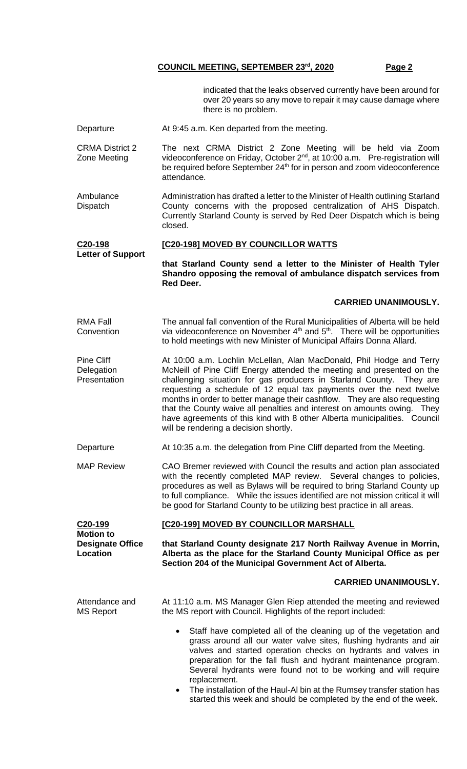indicated that the leaks observed currently have been around for over 20 years so any move to repair it may cause damage where there is no problem.

Departure **At 9:45 a.m. Ken departed from the meeting.** 

CRMA District 2 Zone Meeting The next CRMA District 2 Zone Meeting will be held via Zoom videoconference on Friday, October  $2^{nd}$ , at 10:00 a.m. Pre-registration will be required before September 24<sup>th</sup> for in person and zoom videoconference attendance.

Ambulance **Dispatch** Administration has drafted a letter to the Minister of Health outlining Starland County concerns with the proposed centralization of AHS Dispatch. Currently Starland County is served by Red Deer Dispatch which is being closed.

#### **C20-198 Letter of Support [C20-198] MOVED BY COUNCILLOR WATTS**

**that Starland County send a letter to the Minister of Health Tyler Shandro opposing the removal of ambulance dispatch services from Red Deer.**

#### **CARRIED UNANIMOUSLY.**

RMA Fall **Convention** The annual fall convention of the Rural Municipalities of Alberta will be held via videoconference on November  $4<sup>th</sup>$  and  $5<sup>th</sup>$ . There will be opportunities to hold meetings with new Minister of Municipal Affairs Donna Allard.

Pine Cliff **Delegation Presentation** At 10:00 a.m. Lochlin McLellan, Alan MacDonald, Phil Hodge and Terry McNeill of Pine Cliff Energy attended the meeting and presented on the challenging situation for gas producers in Starland County. They are requesting a schedule of 12 equal tax payments over the next twelve months in order to better manage their cashflow. They are also requesting that the County waive all penalties and interest on amounts owing. They have agreements of this kind with 8 other Alberta municipalities. Council will be rendering a decision shortly.

Departure **At 10:35 a.m.** the delegation from Pine Cliff departed from the Meeting.

MAP Review CAO Bremer reviewed with Council the results and action plan associated with the recently completed MAP review. Several changes to policies, procedures as well as Bylaws will be required to bring Starland County up to full compliance. While the issues identified are not mission critical it will be good for Starland County to be utilizing best practice in all areas.

#### **C20-199 Motion to [C20-199] MOVED BY COUNCILLOR MARSHALL**

**Designate Office**

**Location**

**that Starland County designate 217 North Railway Avenue in Morrin, Alberta as the place for the Starland County Municipal Office as per Section 204 of the Municipal Government Act of Alberta.**

#### **CARRIED UNANIMOUSLY.**

Attendance and MS Report At 11:10 a.m. MS Manager Glen Riep attended the meeting and reviewed the MS report with Council. Highlights of the report included:

- Staff have completed all of the cleaning up of the vegetation and grass around all our water valve sites, flushing hydrants and air valves and started operation checks on hydrants and valves in preparation for the fall flush and hydrant maintenance program. Several hydrants were found not to be working and will require replacement.
- The installation of the Haul-AI bin at the Rumsey transfer station has started this week and should be completed by the end of the week.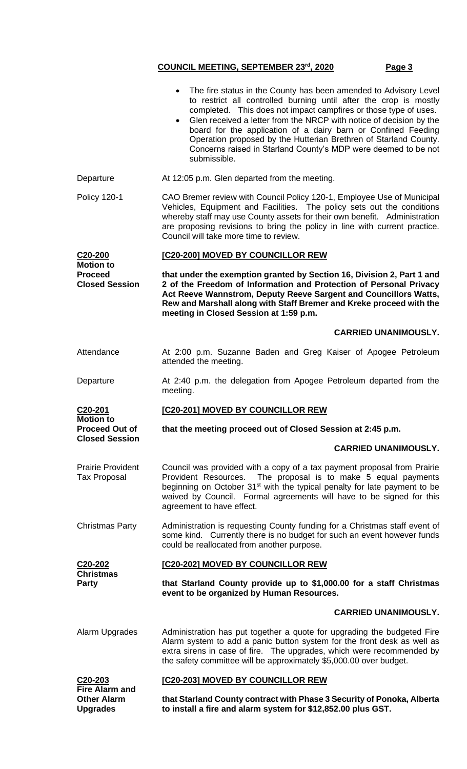|                                                             | The fire status in the County has been amended to Advisory Level<br>to restrict all controlled burning until after the crop is mostly<br>completed. This does not impact campfires or those type of uses.<br>Glen received a letter from the NRCP with notice of decision by the<br>board for the application of a dairy barn or Confined Feeding<br>Operation proposed by the Hutterian Brethren of Starland County.<br>Concerns raised in Starland County's MDP were deemed to be not<br>submissible. |  |  |  |
|-------------------------------------------------------------|---------------------------------------------------------------------------------------------------------------------------------------------------------------------------------------------------------------------------------------------------------------------------------------------------------------------------------------------------------------------------------------------------------------------------------------------------------------------------------------------------------|--|--|--|
| Departure                                                   | At 12:05 p.m. Glen departed from the meeting.                                                                                                                                                                                                                                                                                                                                                                                                                                                           |  |  |  |
| <b>Policy 120-1</b>                                         | CAO Bremer review with Council Policy 120-1, Employee Use of Municipal<br>Vehicles, Equipment and Facilities. The policy sets out the conditions<br>whereby staff may use County assets for their own benefit. Administration<br>are proposing revisions to bring the policy in line with current practice.<br>Council will take more time to review.                                                                                                                                                   |  |  |  |
| C20-200                                                     | [C20-200] MOVED BY COUNCILLOR REW                                                                                                                                                                                                                                                                                                                                                                                                                                                                       |  |  |  |
| <b>Motion to</b><br><b>Proceed</b><br><b>Closed Session</b> | that under the exemption granted by Section 16, Division 2, Part 1 and<br>2 of the Freedom of Information and Protection of Personal Privacy<br>Act Reeve Wannstrom, Deputy Reeve Sargent and Councillors Watts,<br>Rew and Marshall along with Staff Bremer and Kreke proceed with the<br>meeting in Closed Session at 1:59 p.m.                                                                                                                                                                       |  |  |  |
|                                                             | <b>CARRIED UNANIMOUSLY.</b>                                                                                                                                                                                                                                                                                                                                                                                                                                                                             |  |  |  |
| Attendance                                                  | At 2:00 p.m. Suzanne Baden and Greg Kaiser of Apogee Petroleum<br>attended the meeting.                                                                                                                                                                                                                                                                                                                                                                                                                 |  |  |  |
| Departure                                                   | At 2:40 p.m. the delegation from Apogee Petroleum departed from the<br>meeting.                                                                                                                                                                                                                                                                                                                                                                                                                         |  |  |  |
| C20-201                                                     | [C20-201] MOVED BY COUNCILLOR REW                                                                                                                                                                                                                                                                                                                                                                                                                                                                       |  |  |  |
|                                                             |                                                                                                                                                                                                                                                                                                                                                                                                                                                                                                         |  |  |  |
| <b>Motion to</b><br><b>Proceed Out of</b>                   | that the meeting proceed out of Closed Session at 2:45 p.m.                                                                                                                                                                                                                                                                                                                                                                                                                                             |  |  |  |
| <b>Closed Session</b>                                       | <b>CARRIED UNANIMOUSLY.</b>                                                                                                                                                                                                                                                                                                                                                                                                                                                                             |  |  |  |
| <b>Prairie Provident</b><br><b>Tax Proposal</b>             | Council was provided with a copy of a tax payment proposal from Prairie<br>Provident Resources. The proposal is to make 5 equal payments<br>beginning on October 31 <sup>st</sup> with the typical penalty for late payment to be<br>waived by Council. Formal agreements will have to be signed for this<br>agreement to have effect.                                                                                                                                                                  |  |  |  |
| <b>Christmas Party</b>                                      | Administration is requesting County funding for a Christmas staff event of<br>some kind. Currently there is no budget for such an event however funds<br>could be reallocated from another purpose.                                                                                                                                                                                                                                                                                                     |  |  |  |
| C20-202                                                     | [C20-202] MOVED BY COUNCILLOR REW                                                                                                                                                                                                                                                                                                                                                                                                                                                                       |  |  |  |
| <b>Christmas</b><br>Party                                   | that Starland County provide up to \$1,000.00 for a staff Christmas<br>event to be organized by Human Resources.                                                                                                                                                                                                                                                                                                                                                                                        |  |  |  |
|                                                             | <b>CARRIED UNANIMOUSLY.</b>                                                                                                                                                                                                                                                                                                                                                                                                                                                                             |  |  |  |
| Alarm Upgrades                                              | Administration has put together a quote for upgrading the budgeted Fire<br>Alarm system to add a panic button system for the front desk as well as<br>extra sirens in case of fire. The upgrades, which were recommended by<br>the safety committee will be approximately \$5,000.00 over budget.                                                                                                                                                                                                       |  |  |  |
| C20-203<br><b>Fire Alarm and</b>                            | [C20-203] MOVED BY COUNCILLOR REW                                                                                                                                                                                                                                                                                                                                                                                                                                                                       |  |  |  |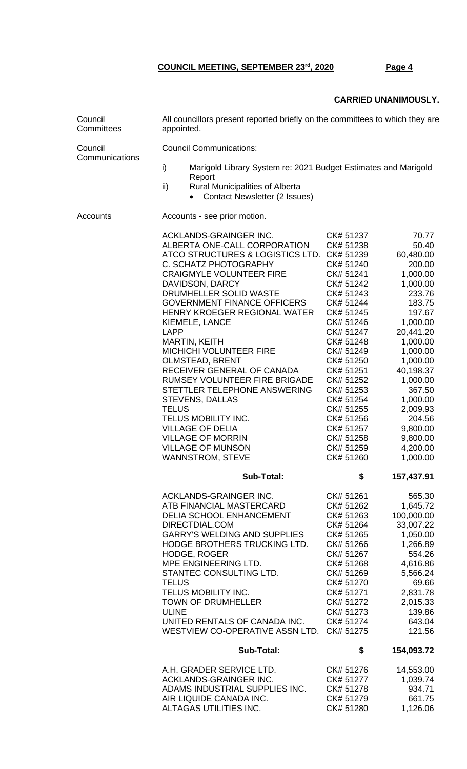#### **CARRIED UNANIMOUSLY.**

| Council<br>Committees     | All councillors present reported briefly on the committees to which they are<br>appointed. |                                                                                                                                                                                                                                                                                                                                                                                                                                                                                                                                                                                                                                                         |                                                                                                                                                                                                                                                                                                         |                                                                                                                                                                                                                                                                               |  |  |
|---------------------------|--------------------------------------------------------------------------------------------|---------------------------------------------------------------------------------------------------------------------------------------------------------------------------------------------------------------------------------------------------------------------------------------------------------------------------------------------------------------------------------------------------------------------------------------------------------------------------------------------------------------------------------------------------------------------------------------------------------------------------------------------------------|---------------------------------------------------------------------------------------------------------------------------------------------------------------------------------------------------------------------------------------------------------------------------------------------------------|-------------------------------------------------------------------------------------------------------------------------------------------------------------------------------------------------------------------------------------------------------------------------------|--|--|
| Council<br>Communications | <b>Council Communications:</b>                                                             |                                                                                                                                                                                                                                                                                                                                                                                                                                                                                                                                                                                                                                                         |                                                                                                                                                                                                                                                                                                         |                                                                                                                                                                                                                                                                               |  |  |
|                           | i)<br>Marigold Library System re: 2021 Budget Estimates and Marigold<br>Report             |                                                                                                                                                                                                                                                                                                                                                                                                                                                                                                                                                                                                                                                         |                                                                                                                                                                                                                                                                                                         |                                                                                                                                                                                                                                                                               |  |  |
|                           | ii)                                                                                        | <b>Rural Municipalities of Alberta</b><br><b>Contact Newsletter (2 Issues)</b>                                                                                                                                                                                                                                                                                                                                                                                                                                                                                                                                                                          |                                                                                                                                                                                                                                                                                                         |                                                                                                                                                                                                                                                                               |  |  |
| Accounts                  | Accounts - see prior motion.                                                               |                                                                                                                                                                                                                                                                                                                                                                                                                                                                                                                                                                                                                                                         |                                                                                                                                                                                                                                                                                                         |                                                                                                                                                                                                                                                                               |  |  |
|                           | <b>LAPP</b><br><b>TELUS</b>                                                                | ACKLANDS-GRAINGER INC.<br>ALBERTA ONE-CALL CORPORATION<br>ATCO STRUCTURES & LOGISTICS LTD. CK# 51239<br>C. SCHATZ PHOTOGRAPHY<br><b>CRAIGMYLE VOLUNTEER FIRE</b><br>DAVIDSON, DARCY<br>DRUMHELLER SOLID WASTE<br><b>GOVERNMENT FINANCE OFFICERS</b><br>HENRY KROEGER REGIONAL WATER<br>KIEMELE, LANCE<br><b>MARTIN, KEITH</b><br><b>MICHICHI VOLUNTEER FIRE</b><br><b>OLMSTEAD, BRENT</b><br>RECEIVER GENERAL OF CANADA<br>RUMSEY VOLUNTEER FIRE BRIGADE<br>STETTLER TELEPHONE ANSWERING<br><b>STEVENS, DALLAS</b><br>TELUS MOBILITY INC.<br><b>VILLAGE OF DELIA</b><br><b>VILLAGE OF MORRIN</b><br><b>VILLAGE OF MUNSON</b><br><b>WANNSTROM, STEVE</b> | CK# 51237<br>CK# 51238<br>CK# 51240<br>CK# 51241<br>CK# 51242<br>CK# 51243<br>CK# 51244<br>CK# 51245<br>CK# 51246<br>CK# 51247<br>CK# 51248<br>CK# 51249<br>CK# 51250<br>CK# 51251<br>CK# 51252<br>CK# 51253<br>CK# 51254<br>CK# 51255<br>CK# 51256<br>CK# 51257<br>CK# 51258<br>CK# 51259<br>CK# 51260 | 70.77<br>50.40<br>60,480.00<br>200.00<br>1,000.00<br>1,000.00<br>233.76<br>183.75<br>197.67<br>1,000.00<br>20,441.20<br>1,000.00<br>1,000.00<br>1,000.00<br>40,198.37<br>1,000.00<br>367.50<br>1,000.00<br>2,009.93<br>204.56<br>9,800.00<br>9,800.00<br>4,200.00<br>1,000.00 |  |  |
|                           |                                                                                            | Sub-Total:                                                                                                                                                                                                                                                                                                                                                                                                                                                                                                                                                                                                                                              | \$                                                                                                                                                                                                                                                                                                      | 157,437.91                                                                                                                                                                                                                                                                    |  |  |
|                           | <b>TELUS</b><br><b>ULINE</b>                                                               | ACKLANDS-GRAINGER INC.<br>ATB FINANCIAL MASTERCARD<br><b>DELIA SCHOOL ENHANCEMENT</b><br>DIRECTDIAL.COM<br><b>GARRY'S WELDING AND SUPPLIES</b><br>HODGE BROTHERS TRUCKING LTD.<br><b>HODGE, ROGER</b><br>MPE ENGINEERING LTD.<br>STANTEC CONSULTING LTD.<br>TELUS MOBILITY INC.<br><b>TOWN OF DRUMHELLER</b><br>UNITED RENTALS OF CANADA INC.<br>WESTVIEW CO-OPERATIVE ASSN LTD.                                                                                                                                                                                                                                                                        | CK# 51261<br>CK# 51262<br>CK# 51263<br>CK# 51264<br>CK# 51265<br>CK# 51266<br>CK# 51267<br>CK# 51268<br>CK# 51269<br>CK# 51270<br>CK# 51271<br>CK# 51272<br>CK# 51273<br>CK# 51274<br>CK# 51275                                                                                                         | 565.30<br>1,645.72<br>100,000.00<br>33,007.22<br>1,050.00<br>1,266.89<br>554.26<br>4,616.86<br>5,566.24<br>69.66<br>2,831.78<br>2,015.33<br>139.86<br>643.04<br>121.56                                                                                                        |  |  |
|                           |                                                                                            | <b>Sub-Total:</b>                                                                                                                                                                                                                                                                                                                                                                                                                                                                                                                                                                                                                                       | \$                                                                                                                                                                                                                                                                                                      | 154,093.72                                                                                                                                                                                                                                                                    |  |  |
|                           |                                                                                            | A.H. GRADER SERVICE LTD.<br>ACKLANDS-GRAINGER INC.<br>ADAMS INDUSTRIAL SUPPLIES INC.<br>AIR LIQUIDE CANADA INC.<br>ALTAGAS UTILITIES INC.                                                                                                                                                                                                                                                                                                                                                                                                                                                                                                               | CK# 51276<br>CK# 51277<br>CK# 51278<br>CK# 51279<br>CK# 51280                                                                                                                                                                                                                                           | 14,553.00<br>1,039.74<br>934.71<br>661.75<br>1,126.06                                                                                                                                                                                                                         |  |  |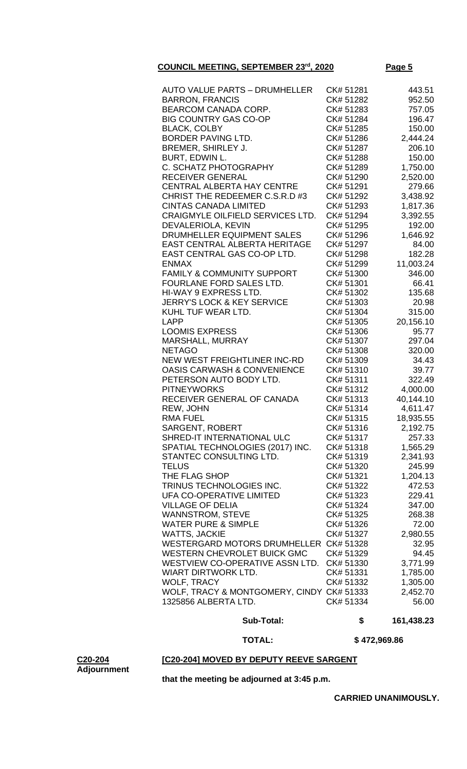| <b>Sub-Total:</b>                         | \$        | 161,438.23 |
|-------------------------------------------|-----------|------------|
| 1325856 ALBERTA LTD.                      | CK# 51334 | 56.00      |
| WOLF, TRACY & MONTGOMERY, CINDY CK# 51333 |           | 2,452.70   |
| <b>WOLF, TRACY</b>                        | CK# 51332 | 1,305.00   |
|                                           |           |            |
| <b>WIART DIRTWORK LTD.</b>                | CK# 51331 | 1,785.00   |
| WESTVIEW CO-OPERATIVE ASSN LTD.           | CK# 51330 | 3,771.99   |
| <b>WESTERN CHEVROLET BUICK GMC</b>        | CK# 51329 | 94.45      |
| WESTERGARD MOTORS DRUMHELLER CK# 51328    |           | 32.95      |
| <b>WATTS, JACKIE</b>                      | CK# 51327 | 2,980.55   |
| <b>WATER PURE &amp; SIMPLE</b>            | CK# 51326 | 72.00      |
| <b>WANNSTROM, STEVE</b>                   | CK# 51325 | 268.38     |
| <b>VILLAGE OF DELIA</b>                   | CK# 51324 | 347.00     |
| UFA CO-OPERATIVE LIMITED                  | CK# 51323 | 229.41     |
| TRINUS TECHNOLOGIES INC.                  | CK# 51322 | 472.53     |
| THE FLAG SHOP                             | CK# 51321 | 1,204.13   |
| <b>TELUS</b>                              | CK# 51320 | 245.99     |
| STANTEC CONSULTING LTD.                   | CK# 51319 | 2,341.93   |
| SPATIAL TECHNOLOGIES (2017) INC.          | CK# 51318 | 1,565.29   |
| SHRED-IT INTERNATIONAL ULC                | CK# 51317 | 257.33     |
| SARGENT, ROBERT                           | CK# 51316 | 2,192.75   |
| <b>RMA FUEL</b>                           | CK# 51315 | 18,935.55  |
| REW, JOHN                                 | CK# 51314 | 4,611.47   |
|                                           | CK# 51313 |            |
| RECEIVER GENERAL OF CANADA                |           | 40,144.10  |
| <b>PITNEYWORKS</b>                        | CK# 51312 | 4,000.00   |
| PETERSON AUTO BODY LTD.                   | CK# 51311 | 322.49     |
| <b>OASIS CARWASH &amp; CONVENIENCE</b>    | CK# 51310 | 39.77      |
| NEW WEST FREIGHTLINER INC-RD              | CK# 51309 | 34.43      |
| <b>NETAGO</b>                             | CK# 51308 | 320.00     |
| MARSHALL, MURRAY                          | CK# 51307 | 297.04     |
| <b>LOOMIS EXPRESS</b>                     | CK# 51306 | 95.77      |
| <b>LAPP</b>                               | CK# 51305 | 20,156.10  |
| KUHL TUF WEAR LTD.                        | CK# 51304 | 315.00     |
| <b>JERRY'S LOCK &amp; KEY SERVICE</b>     | CK# 51303 | 20.98      |
| HI-WAY 9 EXPRESS LTD.                     | CK# 51302 | 135.68     |
| FOURLANE FORD SALES LTD.                  | CK# 51301 | 66.41      |
| <b>FAMILY &amp; COMMUNITY SUPPORT</b>     | CK# 51300 | 346.00     |
|                                           | CK# 51299 | 11,003.24  |
| <b>ENMAX</b>                              |           |            |
| EAST CENTRAL GAS CO-OP LTD.               | CK# 51298 | 182.28     |
| <b>EAST CENTRAL ALBERTA HERITAGE</b>      | CK# 51297 | 84.00      |
| DRUMHELLER EQUIPMENT SALES                | CK# 51296 | 1,646.92   |
| DEVALERIOLA, KEVIN                        | CK# 51295 | 192.00     |
| CRAIGMYLE OILFIELD SERVICES LTD.          | CK# 51294 | 3,392.55   |
| <b>CINTAS CANADA LIMITED</b>              | CK# 51293 | 1,817.36   |
| CHRIST THE REDEEMER C.S.R.D #3            | CK# 51292 | 3,438.92   |
| <b>CENTRAL ALBERTA HAY CENTRE</b>         | CK# 51291 | 279.66     |
| <b>RECEIVER GENERAL</b>                   | CK# 51290 | 2,520.00   |
| C. SCHATZ PHOTOGRAPHY                     | CK# 51289 | 1,750.00   |
| BURT, EDWIN L.                            | CK# 51288 | 150.00     |
| BREMER, SHIRLEY J.                        | CK# 51287 | 206.10     |
| BORDER PAVING LTD.                        | CK# 51286 | 2,444.24   |
| <b>BLACK, COLBY</b>                       | CK# 51285 | 150.00     |
| <b>BIG COUNTRY GAS CO-OP</b>              | CK# 51284 | 196.47     |
| <b>BEARCOM CANADA CORP.</b>               | CK# 51283 | 757.05     |
| <b>BARRON, FRANCIS</b>                    | CK# 51282 | 952.50     |
| <b>AUTO VALUE PARTS - DRUMHELLER</b>      | CK# 51281 | 443.51     |

 **TOTAL: \$ 472,969.86**

### **[C20-204] MOVED BY DEPUTY REEVE SARGENT**

**C20-204 Adjournment**

**that the meeting be adjourned at 3:45 p.m.**

**CARRIED UNANIMOUSLY.**